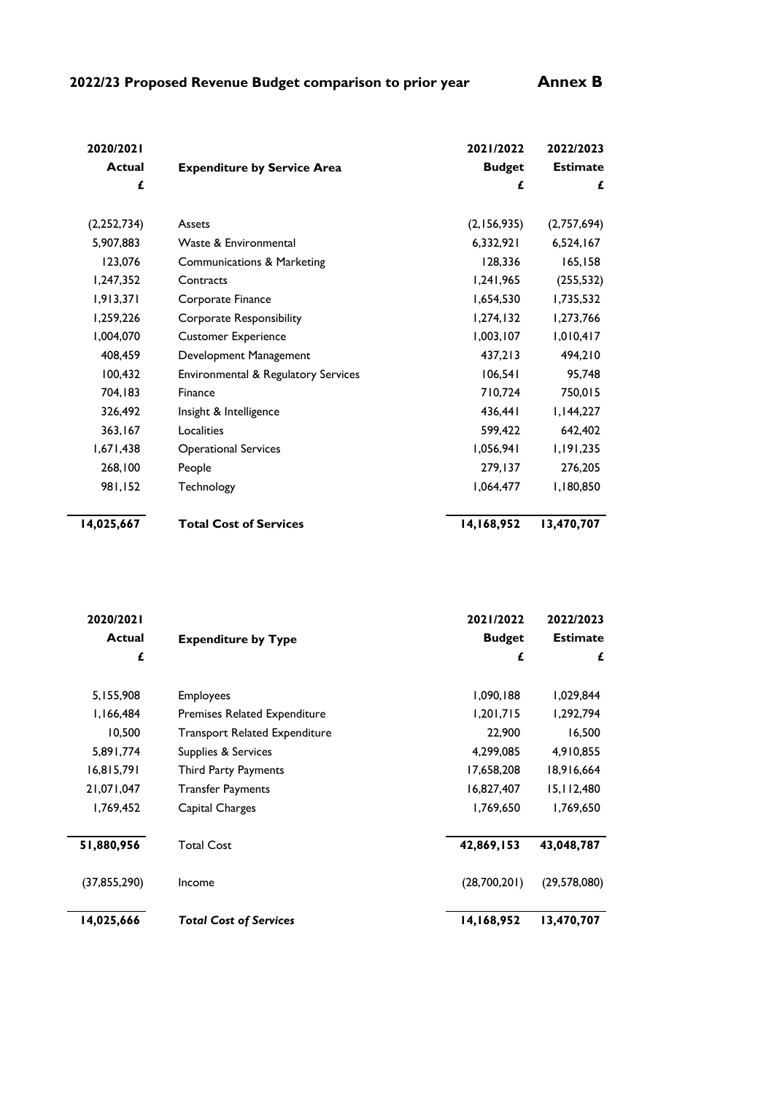| 2020/2021     |                                       | 2021/2022     | 2022/2023       |
|---------------|---------------------------------------|---------------|-----------------|
| <b>Actual</b> | <b>Expenditure by Service Area</b>    | <b>Budget</b> | <b>Estimate</b> |
| £             |                                       | £             | £               |
| (2, 252, 734) | Assets                                | (2,156,935)   | (2,757,694)     |
| 5,907,883     | Waste & Environmental                 | 6,332,921     | 6,524,167       |
| 123,076       | <b>Communications &amp; Marketing</b> | 128,336       | 165, 158        |
| 1,247,352     | Contracts                             | 1,241,965     | (255, 532)      |
| 1,913,371     | Corporate Finance                     | 1,654,530     | 1,735,532       |
| 1,259,226     | Corporate Responsibility              | 1,274,132     | 1,273,766       |
| 1,004,070     | <b>Customer Experience</b>            | 1,003,107     | 1,010,417       |
| 408,459       | Development Management                | 437,213       | 494,210         |
| 100,432       | Environmental & Regulatory Services   | 106,541       | 95,748          |
| 704,183       | Finance                               | 710,724       | 750,015         |
| 326,492       | Insight & Intelligence                | 436,441       | 1,144,227       |
| 363,167       | Localities                            | 599,422       | 642,402         |
| 1,671,438     | <b>Operational Services</b>           | 1,056,941     | 1,191,235       |
| 268,100       | People                                | 279,137       | 276,205         |
| 981,152       | Technology                            | 1,064,477     | 1,180,850       |
| 14,025,667    | <b>Total Cost of Services</b>         | 14,168,952    | 13,470,707      |

| 2020/2021    |                                      | 2021/2022     | 2022/2023       |
|--------------|--------------------------------------|---------------|-----------------|
| Actual       | <b>Expenditure by Type</b>           | <b>Budget</b> | <b>Estimate</b> |
| £            |                                      | £             | £               |
| 5,155,908    | <b>Employees</b>                     | 1,090,188     | 1,029,844       |
| I, 166, 484  | <b>Premises Related Expenditure</b>  | 1,201,715     | 1,292,794       |
| 10,500       | <b>Transport Related Expenditure</b> | 22,900        | 16,500          |
| 5,891,774    | Supplies & Services                  | 4,299,085     | 4,910,855       |
| 16,815,791   | <b>Third Party Payments</b>          | 17,658,208    | 18,916,664      |
| 21,071,047   | <b>Transfer Payments</b>             | 16,827,407    | 15,112,480      |
| 1,769,452    | Capital Charges                      | 1,769,650     | 1,769,650       |
| 51,880,956   | <b>Total Cost</b>                    | 42,869,153    | 43,048,787      |
| (37,855,290) | Income                               | (28,700,201)  | (29, 578, 080)  |
| 14,025,666   | <b>Total Cost of Services</b>        | 14,168,952    | 13,470,707      |